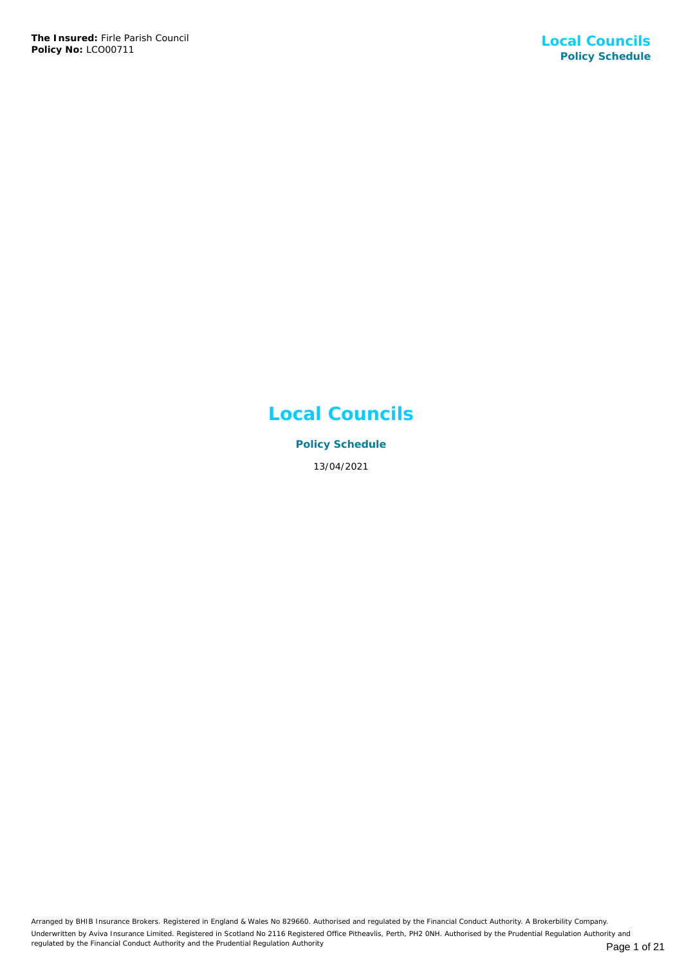# **Local Councils**

**Policy Schedule** 13/04/2021

Arranged by BHIB Insurance Brokers. Registered in England & Wales No 829660. Authorised and regulated by the Financial Conduct Authority. A Brokerbility Company. Underwritten by Aviva Insurance Limited. Registered in Scotland No 2116 Registered Office Pitheavlis, Perth, PH2 0NH. Authorised by the Prudential Regulation Authority and regulated by the Financial Conduct Authority and the Prudential Regulation Authority **Page 1 of 21** Page 1 of 21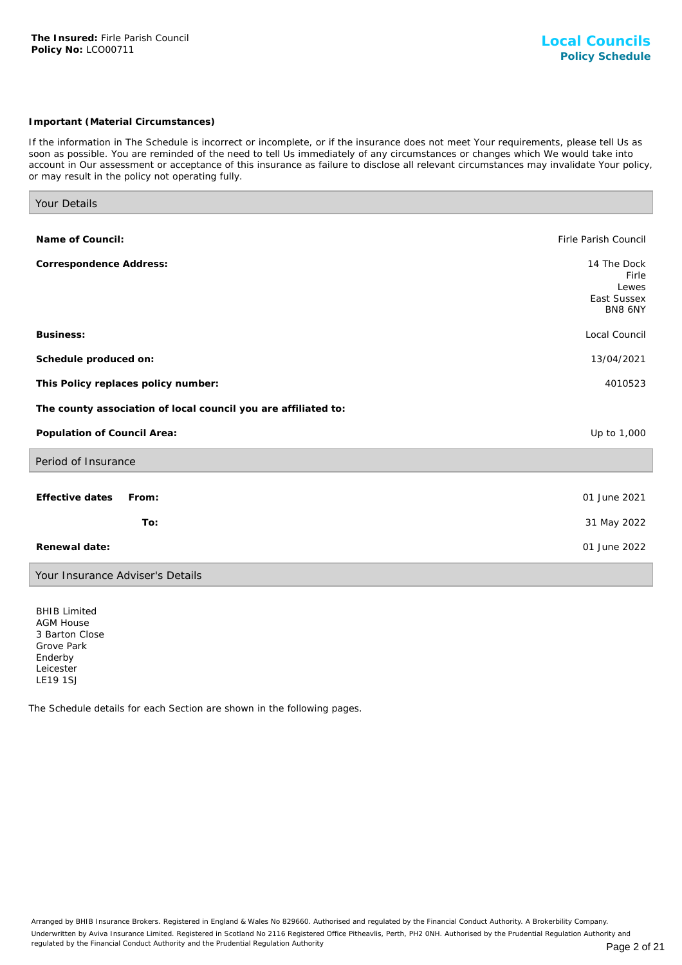## *Important (Material Circumstances)*

*If the information in The Schedule is incorrect or incomplete, or if the insurance does not meet Your requirements, please tell Us as soon as possible. You are reminded of the need to tell Us immediately of any circumstances or changes which We would take into account in Our assessment or acceptance of this insurance as failure to disclose all relevant circumstances may invalidate Your policy, or may result in the policy not operating fully.*

| Your Details                                                   |                                                         |
|----------------------------------------------------------------|---------------------------------------------------------|
|                                                                |                                                         |
| Name of Council:                                               | Firle Parish Council                                    |
| Correspondence Address:                                        | 14 The Dock<br>Firle<br>Lewes<br>East Sussex<br>BN8 6NY |
| <b>Business:</b>                                               | Local Council                                           |
| Schedule produced on:                                          | 13/04/2021                                              |
| This Policy replaces policy number:                            | 4010523                                                 |
| The county association of local council you are affiliated to: |                                                         |
| Population of Council Area:                                    | Up to 1,000                                             |
| Period of Insurance                                            |                                                         |
|                                                                |                                                         |
| Effective dates<br>From:                                       | 01 June 2021                                            |
| To:                                                            | 31 May 2022                                             |
| Renewal date:                                                  | 01 June 2022                                            |
|                                                                |                                                         |

Your Insurance Adviser's Details

BHIB Limited AGM House 3 Barton Close Grove Park Enderby Leicester LE19 1SJ

The Schedule details for each Section are shown in the following pages.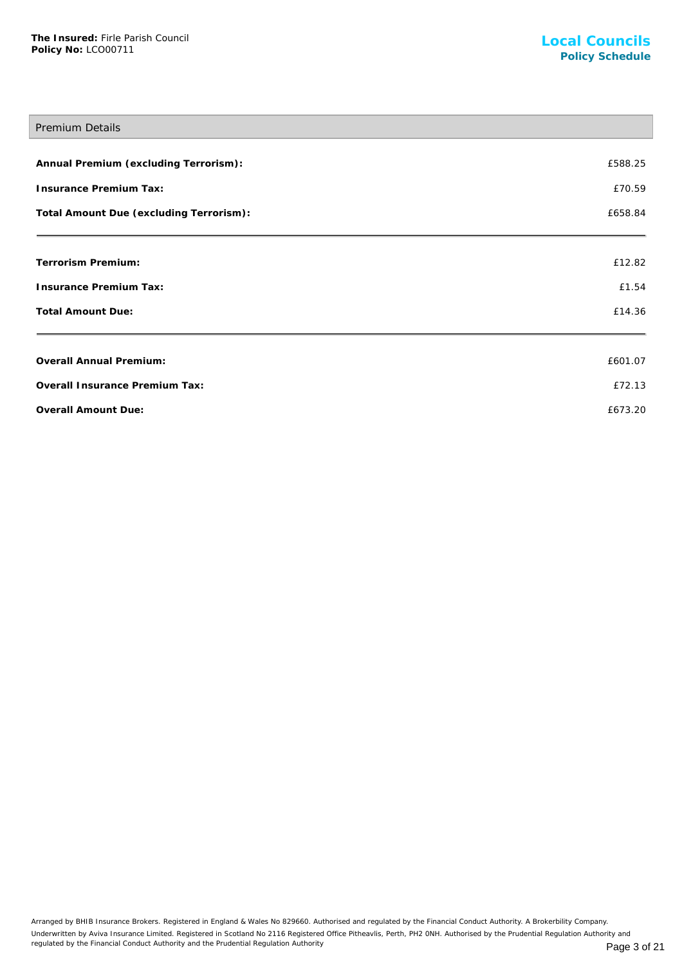# Premium Details

| Annual Premium (excluding Terrorism):   | £588.25 |
|-----------------------------------------|---------|
| Insurance Premium Tax:                  | £70.59  |
| Total Amount Due (excluding Terrorism): | £658.84 |
| Terrorism Premium:                      | £12.82  |
| Insurance Premium Tax:                  | £1.54   |
| <b>Total Amount Due:</b>                | £14.36  |
| Overall Annual Premium:                 | £601.07 |
| Overall Insurance Premium Tax:          | £72.13  |
| Overall Amount Due:                     | £673.20 |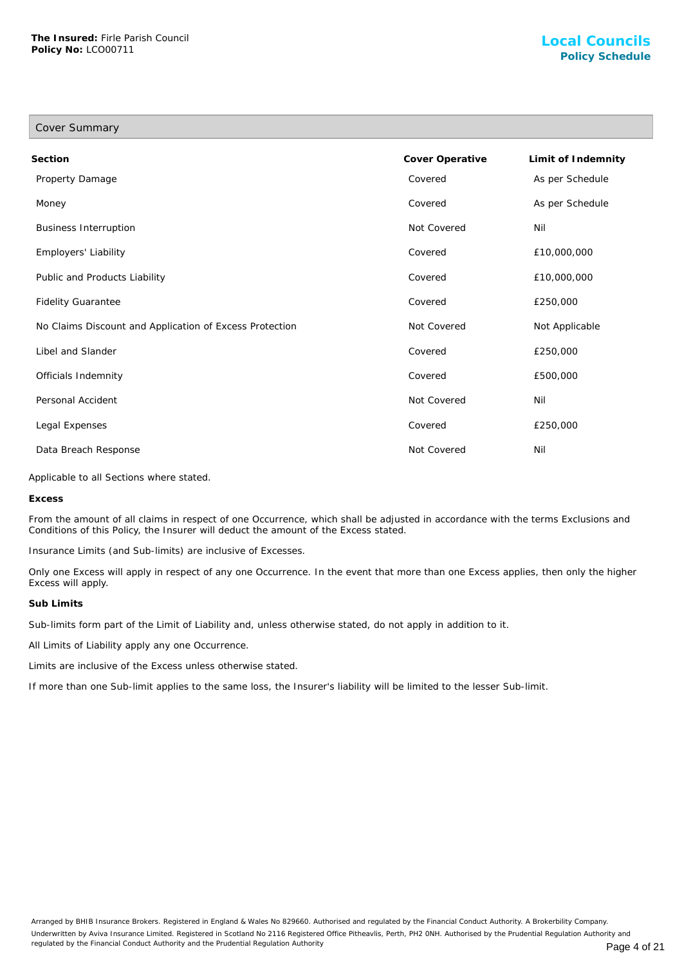| Cover Summary                                           |                 |                    |
|---------------------------------------------------------|-----------------|--------------------|
| Section                                                 | Cover Operative | Limit of Indemnity |
| Property Damage                                         | Covered         | As per Schedule    |
| Money                                                   | Covered         | As per Schedule    |
| <b>Business Interruption</b>                            | Not Covered     | Nil                |
| Employers' Liability                                    | Covered         | £10,000,000        |
| Public and Products Liability                           | Covered         | £10,000,000        |
| <b>Fidelity Guarantee</b>                               | Covered         | £250,000           |
| No Claims Discount and Application of Excess Protection | Not Covered     | Not Applicable     |
| Libel and Slander                                       | Covered         | £250,000           |
| Officials Indemnity                                     | Covered         | £500,000           |
| Personal Accident                                       | Not Covered     | Nil                |
| Legal Expenses                                          | Covered         | £250,000           |
| Data Breach Response                                    | Not Covered     | Nil                |

Applicable to all Sections where stated.

**Excess**

From the amount of all claims in respect of one Occurrence, which shall be adjusted in accordance with the terms Exclusions and Conditions of this Policy, the Insurer will deduct the amount of the Excess stated.

Insurance Limits (and Sub-limits) are inclusive of Excesses.

Only one Excess will apply in respect of any one Occurrence. In the event that more than one Excess applies, then only the higher Excess will apply.

#### **Sub Limits**

Sub-limits form part of the Limit of Liability and, unless otherwise stated, do not apply in addition to it.

All Limits of Liability apply any one Occurrence.

Limits are inclusive of the Excess unless otherwise stated.

If more than one Sub-limit applies to the same loss, the Insurer's liability will be limited to the lesser Sub-limit.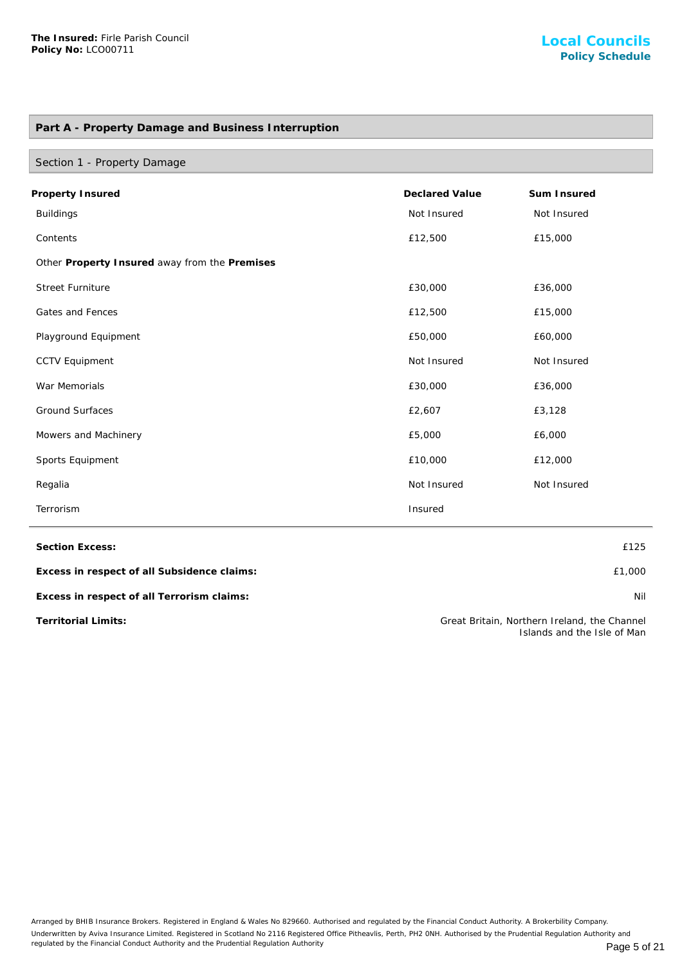# **Part A - Property Damage and Business Interruption**

| Section 1 - Property Damage                   |                       |             |
|-----------------------------------------------|-----------------------|-------------|
| Property Insured                              | <b>Declared Value</b> | Sum Insured |
| <b>Buildings</b>                              | Not Insured           | Not Insured |
| Contents                                      | £12,500               | £15,000     |
| Other Property Insured away from the Premises |                       |             |
| <b>Street Furniture</b>                       | £30,000               | £36,000     |
| Gates and Fences                              | £12,500               | £15,000     |
| Playground Equipment                          | £50,000               | £60,000     |
| <b>CCTV Equipment</b>                         | Not Insured           | Not Insured |
| War Memorials                                 | £30,000               | £36,000     |
| <b>Ground Surfaces</b>                        | £2,607                | £3,128      |
| Mowers and Machinery                          | £5,000                | £6,000      |
| Sports Equipment                              | £10,000               | £12,000     |
| Regalia                                       | Not Insured           | Not Insured |
| Terrorism                                     | Insured               |             |

**Section Excess:** £125

**Excess in respect of all Subsidence claims:** £1,000

**Excess in respect of all Terrorism claims:** Nil

**Territorial Limits:** Great Britain, Northern Ireland, the Channel Islands and the Isle of Man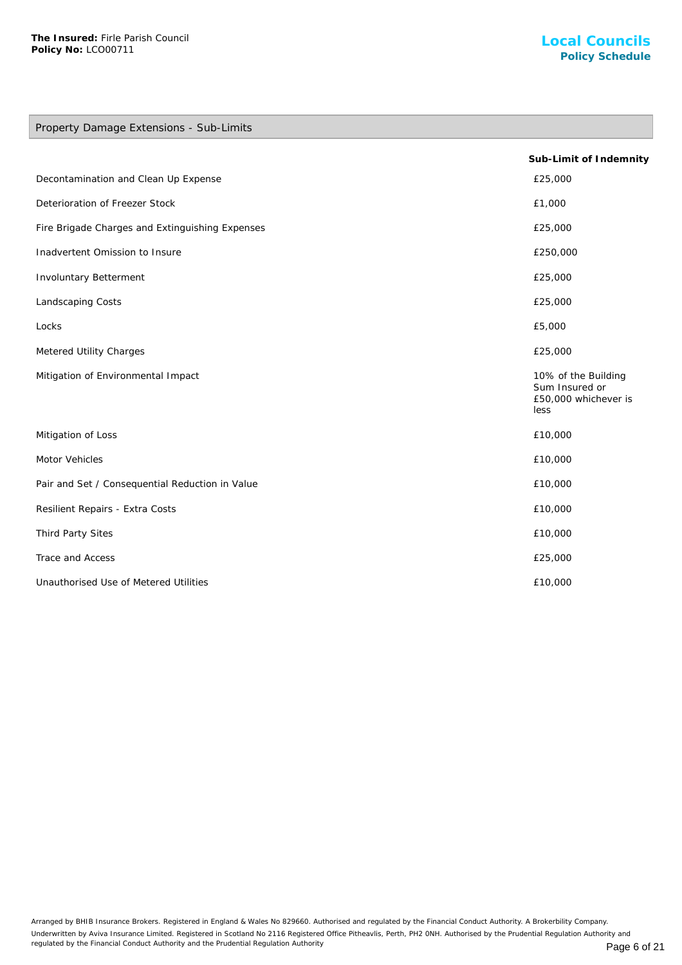# Property Damage Extensions - Sub-Limits

|                                                 | Sub-Limit of Indemnity                                                |
|-------------------------------------------------|-----------------------------------------------------------------------|
| Decontamination and Clean Up Expense            | £25,000                                                               |
| Deterioration of Freezer Stock                  | £1,000                                                                |
| Fire Brigade Charges and Extinguishing Expenses | £25,000                                                               |
| Inadvertent Omission to Insure                  | £250,000                                                              |
| Involuntary Betterment                          | £25,000                                                               |
| Landscaping Costs                               | £25,000                                                               |
| Locks                                           | £5,000                                                                |
| Metered Utility Charges                         | £25,000                                                               |
| Mitigation of Environmental Impact              | 10% of the Building<br>Sum Insured or<br>£50,000 whichever is<br>less |
| Mitigation of Loss                              | £10,000                                                               |
| Motor Vehicles                                  | £10,000                                                               |
| Pair and Set / Consequential Reduction in Value | £10,000                                                               |
| Resilient Repairs - Extra Costs                 | £10,000                                                               |
| Third Party Sites                               | £10,000                                                               |
| Trace and Access                                | £25,000                                                               |
| Unauthorised Use of Metered Utilities           | £10,000                                                               |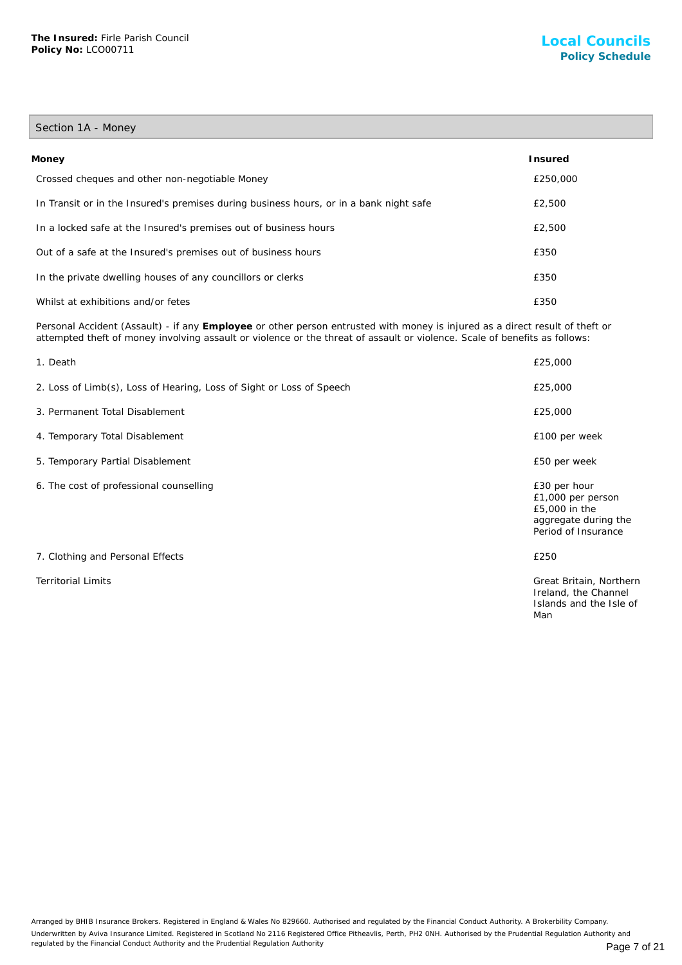# Section 1A - Money

| Money                                                                                  | Insured  |
|----------------------------------------------------------------------------------------|----------|
| Crossed cheques and other non-negotiable Money                                         | £250,000 |
| In Transit or in the Insured's premises during business hours, or in a bank night safe | £2,500   |
| In a locked safe at the Insured's premises out of business hours                       | £2,500   |
| Out of a safe at the Insured's premises out of business hours                          | £350     |
| In the private dwelling houses of any councillors or clerks                            | £350     |
| Whilst at exhibitions and/or fetes                                                     | £350     |

Personal Accident (Assault) - if any **Employee** or other person entrusted with money is injured as a direct result of theft or attempted theft of money involving assault or violence or the threat of assault or violence. Scale of benefits as follows:

| 1. Death                                                             | £25,000                                                                                           |
|----------------------------------------------------------------------|---------------------------------------------------------------------------------------------------|
| 2. Loss of Limb(s), Loss of Hearing, Loss of Sight or Loss of Speech | £25,000                                                                                           |
| 3. Permanent Total Disablement                                       | £25,000                                                                                           |
| 4. Temporary Total Disablement                                       | £100 per week                                                                                     |
| 5. Temporary Partial Disablement                                     | £50 per week                                                                                      |
| 6. The cost of professional counselling                              | £30 per hour<br>£1,000 per person<br>£5,000 in the<br>aggregate during the<br>Period of Insurance |
| 7. Clothing and Personal Effects                                     | £250                                                                                              |
| <b>Territorial Limits</b>                                            | Great Britain, Northern<br>Ireland, the Channel<br>Islands and the Isle of<br>Man                 |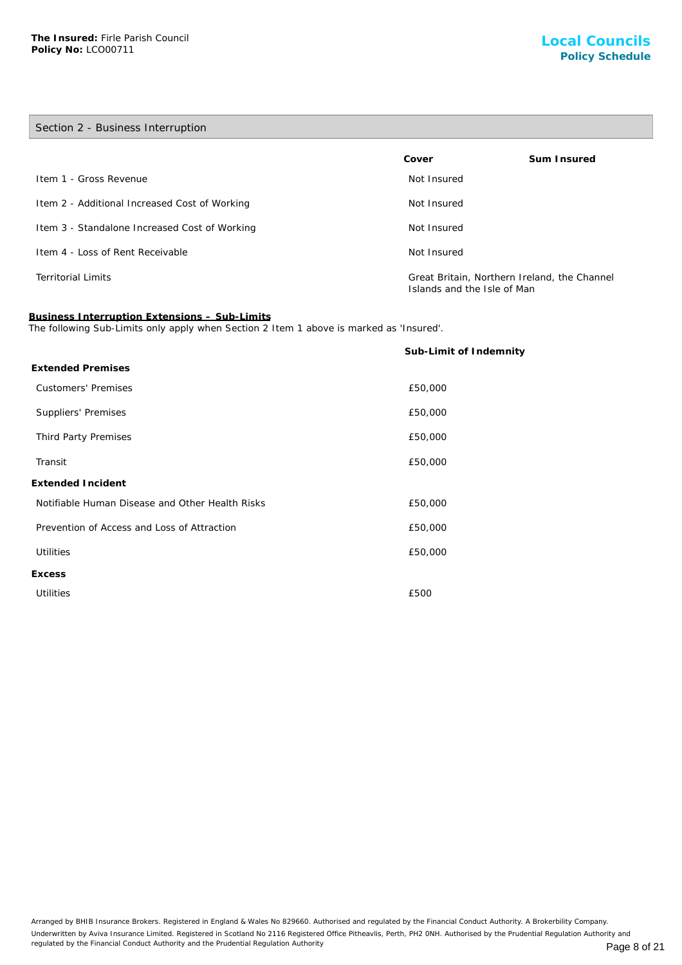**Excess**

| Section 2 - Business Interruption                                                                                                        |                                                                             |             |  |
|------------------------------------------------------------------------------------------------------------------------------------------|-----------------------------------------------------------------------------|-------------|--|
|                                                                                                                                          | Cover                                                                       | Sum Insured |  |
| Item 1 - Gross Revenue                                                                                                                   | Not Insured                                                                 |             |  |
| Item 2 - Additional Increased Cost of Working                                                                                            | Not Insured                                                                 |             |  |
| Item 3 - Standalone Increased Cost of Working                                                                                            | Not Insured                                                                 |             |  |
| Item 4 - Loss of Rent Receivable                                                                                                         | Not Insured                                                                 |             |  |
| <b>Territorial Limits</b>                                                                                                                | Great Britain, Northern Ireland, the Channel<br>Islands and the Isle of Man |             |  |
| Business Interruption Extensions - Sub-Limits<br>The following Sub-Limits only apply when Section 2 Item 1 above is marked as 'Insured'. |                                                                             |             |  |
|                                                                                                                                          | Sub-Limit of Indemnity                                                      |             |  |
| <b>Extended Premises</b>                                                                                                                 |                                                                             |             |  |
| <b>Customers' Premises</b>                                                                                                               | £50,000                                                                     |             |  |
| Suppliers' Premises                                                                                                                      | £50,000                                                                     |             |  |
| Third Party Premises                                                                                                                     | £50,000                                                                     |             |  |
| Transit                                                                                                                                  | £50,000                                                                     |             |  |
| Extended Incident                                                                                                                        |                                                                             |             |  |

Notifiable Human Disease and Other Health Risks £50,000

Prevention of Access and Loss of Attraction £50,000

Utilities £50,000

Utilities £500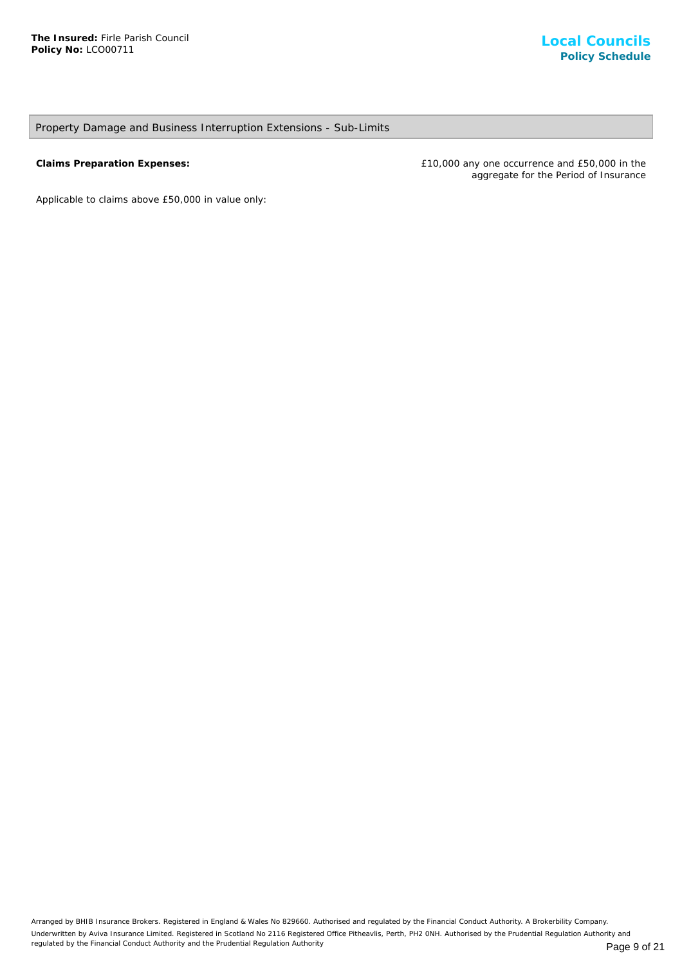# Property Damage and Business Interruption Extensions - Sub-Limits

**Claims Preparation Expenses:** £10,000 any one occurrence and £50,000 in the aggregate for the Period of Insurance

*Applicable to claims above £50,000 in value only*: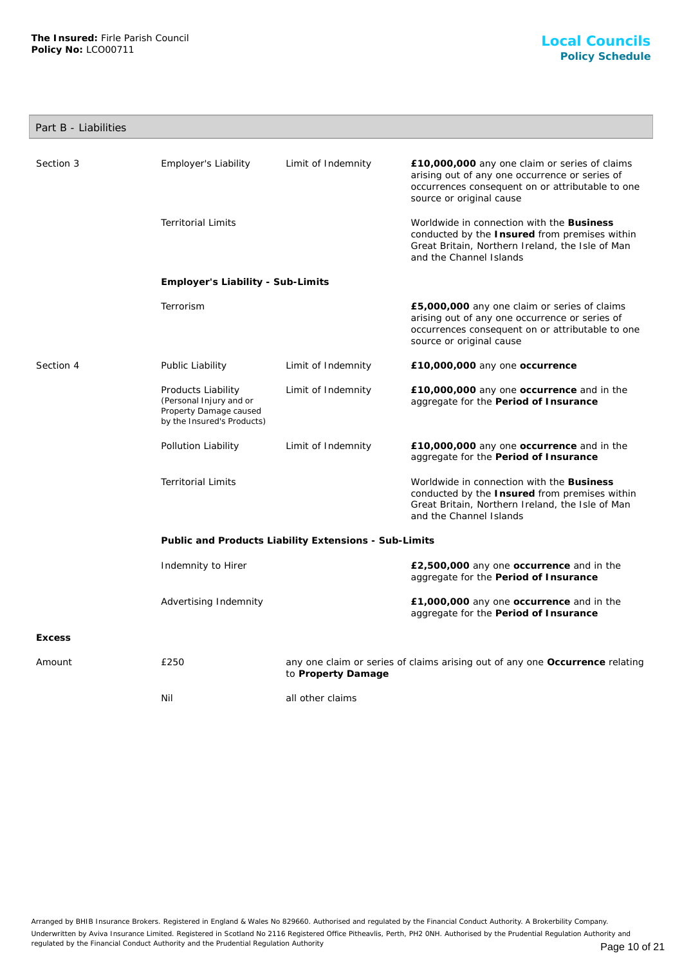|  | Part B - Liabilities |
|--|----------------------|
|  |                      |

| Section 3     | Employer's Liability                                                                                  | Limit of Indemnity | £10,000,000 any one claim or series of claims<br>arising out of any one occurrence or series of<br>occurrences consequent on or attributable to one<br>source or original cause |  |
|---------------|-------------------------------------------------------------------------------------------------------|--------------------|---------------------------------------------------------------------------------------------------------------------------------------------------------------------------------|--|
|               | <b>Territorial Limits</b>                                                                             |                    | Worldwide in connection with the Business<br>conducted by the Insured from premises within<br>Great Britain, Northern Ireland, the Isle of Man<br>and the Channel Islands       |  |
|               | Employer's Liability - Sub-Limits                                                                     |                    |                                                                                                                                                                                 |  |
|               | Terrorism                                                                                             |                    | £5,000,000 any one claim or series of claims<br>arising out of any one occurrence or series of<br>occurrences consequent on or attributable to one<br>source or original cause  |  |
| Section 4     | Public Liability                                                                                      | Limit of Indemnity | £10,000,000 any one occurrence                                                                                                                                                  |  |
|               | Products Liability<br>(Personal Injury and or<br>Property Damage caused<br>by the Insured's Products) | Limit of Indemnity | £10,000,000 any one occurrence and in the<br>aggregate for the Period of Insurance                                                                                              |  |
|               | Pollution Liability                                                                                   | Limit of Indemnity | £10,000,000 any one occurrence and in the<br>aggregate for the Period of Insurance                                                                                              |  |
|               | <b>Territorial Limits</b>                                                                             |                    | Worldwide in connection with the Business<br>conducted by the Insured from premises within<br>Great Britain, Northern Ireland, the Isle of Man<br>and the Channel Islands       |  |
|               | Public and Products Liability Extensions - Sub-Limits                                                 |                    |                                                                                                                                                                                 |  |
|               | Indemnity to Hirer                                                                                    |                    | £2,500,000 any one occurrence and in the<br>aggregate for the Period of Insurance                                                                                               |  |
|               | Advertising Indemnity                                                                                 |                    | £1,000,000 any one occurrence and in the<br>aggregate for the Period of Insurance                                                                                               |  |
| <b>Excess</b> |                                                                                                       |                    |                                                                                                                                                                                 |  |
| Amount        | £250                                                                                                  | to Property Damage | any one claim or series of claims arising out of any one Occurrence relating                                                                                                    |  |
|               | Nil                                                                                                   | all other claims   |                                                                                                                                                                                 |  |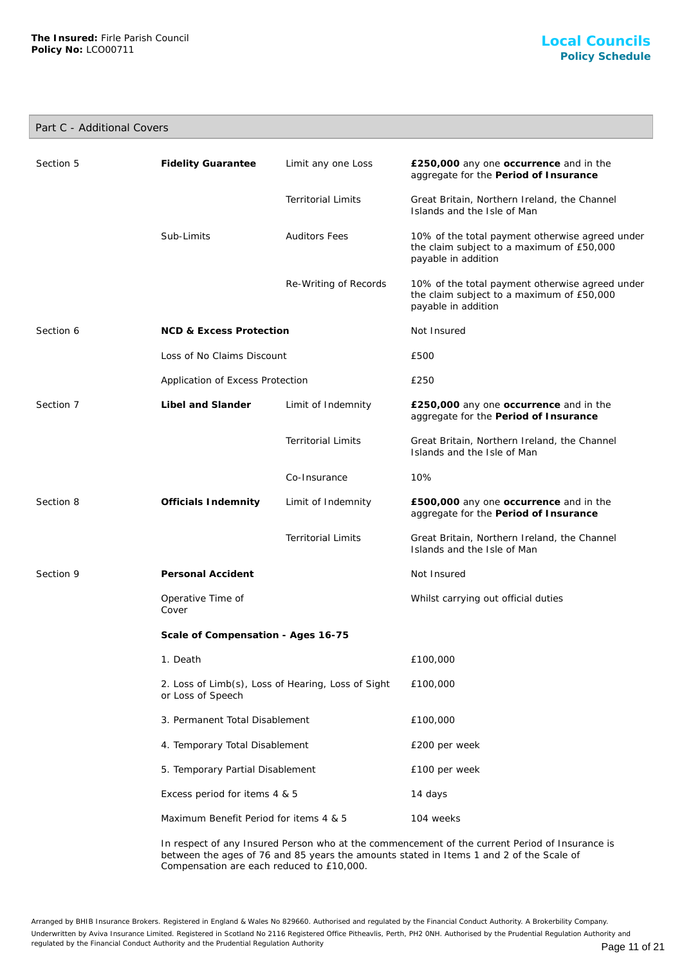# Part C - Additional Covers

| Section 5                          | <b>Fidelity Guarantee</b>                                               | Limit any one Loss        | £250,000 any one occurrence and in the<br>aggregate for the Period of Insurance                                     |
|------------------------------------|-------------------------------------------------------------------------|---------------------------|---------------------------------------------------------------------------------------------------------------------|
|                                    |                                                                         | <b>Territorial Limits</b> | Great Britain, Northern Ireland, the Channel<br>Islands and the Isle of Man                                         |
|                                    | Sub-Limits                                                              | <b>Auditors Fees</b>      | 10% of the total payment otherwise agreed under<br>the claim subject to a maximum of £50,000<br>payable in addition |
|                                    |                                                                         | Re-Writing of Records     | 10% of the total payment otherwise agreed under<br>the claim subject to a maximum of £50,000<br>payable in addition |
| Section 6                          | <b>NCD &amp; Excess Protection</b>                                      |                           | Not Insured                                                                                                         |
|                                    | Loss of No Claims Discount                                              |                           | £500                                                                                                                |
|                                    | Application of Excess Protection                                        |                           | £250                                                                                                                |
| Section 7                          | Libel and Slander                                                       | Limit of Indemnity        | £250,000 any one occurrence and in the<br>aggregate for the Period of Insurance                                     |
|                                    |                                                                         | <b>Territorial Limits</b> | Great Britain, Northern Ireland, the Channel<br>Islands and the Isle of Man                                         |
|                                    |                                                                         | Co-Insurance              | 10%                                                                                                                 |
| Section 8                          | Officials Indemnity                                                     | Limit of Indemnity        | £500,000 any one occurrence and in the<br>aggregate for the Period of Insurance                                     |
|                                    |                                                                         | <b>Territorial Limits</b> | Great Britain, Northern Ireland, the Channel<br>Islands and the Isle of Man                                         |
| Section 9                          | Personal Accident                                                       |                           | Not Insured                                                                                                         |
|                                    | Operative Time of<br>Cover                                              |                           | Whilst carrying out official duties                                                                                 |
| Scale of Compensation - Ages 16-75 |                                                                         |                           |                                                                                                                     |
|                                    | 1. Death                                                                |                           | £100,000                                                                                                            |
|                                    | 2. Loss of Limb(s), Loss of Hearing, Loss of Sight<br>or Loss of Speech |                           | £100,000                                                                                                            |
|                                    | 3. Permanent Total Disablement                                          |                           | £100,000                                                                                                            |
|                                    | 4. Temporary Total Disablement                                          |                           | £200 per week                                                                                                       |
|                                    | 5. Temporary Partial Disablement                                        |                           | £100 per week                                                                                                       |
|                                    | Excess period for items 4 & 5                                           |                           | 14 days                                                                                                             |
|                                    | Maximum Benefit Period for items 4 & 5                                  |                           | 104 weeks                                                                                                           |

In respect of any Insured Person who at the commencement of the current Period of Insurance is between the ages of 76 and 85 years the amounts stated in Items 1 and 2 of the Scale of Compensation are each reduced to £10,000.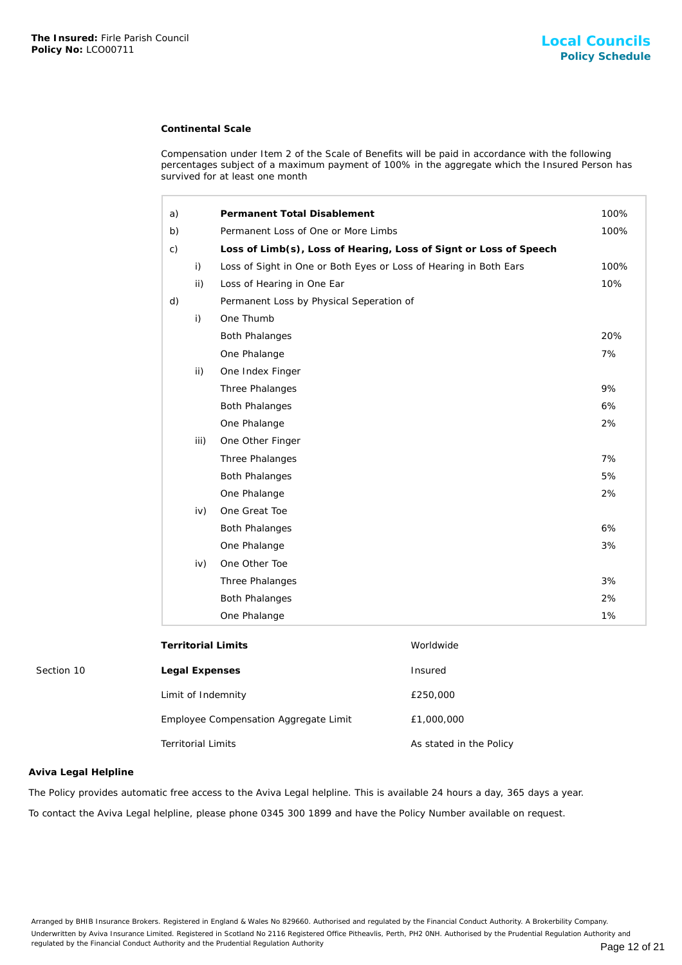#### **Continental Scale**

| The Insured: Firle Parish Council<br>Policy No: LCO00711 |                           |                                                                   |                                                                                                                                                                                                    | <b>Local Council</b><br><b>Policy Schedu</b> |
|----------------------------------------------------------|---------------------------|-------------------------------------------------------------------|----------------------------------------------------------------------------------------------------------------------------------------------------------------------------------------------------|----------------------------------------------|
|                                                          |                           | <b>Continental Scale</b>                                          |                                                                                                                                                                                                    |                                              |
|                                                          |                           | survived for at least one month                                   | Compensation under Item 2 of the Scale of Benefits will be paid in accordance with the following<br>percentages subject of a maximum payment of 100% in the aggregate which the Insured Person has |                                              |
|                                                          | a)                        | Permanent Total Disablement                                       |                                                                                                                                                                                                    | 100%                                         |
|                                                          | b)                        | Permanent Loss of One or More Limbs                               |                                                                                                                                                                                                    | 100%                                         |
|                                                          | $\mathsf{C}$ )            |                                                                   | Loss of Limb(s), Loss of Hearing, Loss of Signt or Loss of Speech                                                                                                                                  |                                              |
|                                                          | i)                        | Loss of Sight in One or Both Eyes or Loss of Hearing in Both Ears |                                                                                                                                                                                                    | 100%                                         |
|                                                          |                           | ii)<br>Loss of Hearing in One Ear                                 |                                                                                                                                                                                                    | 10%                                          |
|                                                          | d)                        | Permanent Loss by Physical Seperation of                          |                                                                                                                                                                                                    |                                              |
|                                                          | i)                        | One Thumb                                                         |                                                                                                                                                                                                    |                                              |
|                                                          |                           | <b>Both Phalanges</b>                                             |                                                                                                                                                                                                    | 20%                                          |
|                                                          |                           | One Phalange                                                      |                                                                                                                                                                                                    | 7%                                           |
|                                                          |                           | ii)<br>One Index Finger                                           |                                                                                                                                                                                                    |                                              |
|                                                          |                           | Three Phalanges                                                   |                                                                                                                                                                                                    | 9%                                           |
|                                                          |                           | <b>Both Phalanges</b>                                             |                                                                                                                                                                                                    | 6%                                           |
|                                                          |                           | One Phalange                                                      |                                                                                                                                                                                                    | 2%                                           |
|                                                          |                           | iii)<br>One Other Finger                                          |                                                                                                                                                                                                    |                                              |
|                                                          |                           | Three Phalanges                                                   |                                                                                                                                                                                                    | 7%                                           |
|                                                          |                           | <b>Both Phalanges</b>                                             |                                                                                                                                                                                                    | 5%                                           |
|                                                          |                           | One Phalange                                                      |                                                                                                                                                                                                    | 2%                                           |
|                                                          |                           | One Great Toe<br>iv)                                              |                                                                                                                                                                                                    |                                              |
|                                                          |                           | <b>Both Phalanges</b>                                             |                                                                                                                                                                                                    | 6%                                           |
|                                                          |                           | One Phalange                                                      |                                                                                                                                                                                                    | 3%                                           |
|                                                          |                           | One Other Toe<br>iv)                                              |                                                                                                                                                                                                    |                                              |
|                                                          |                           | Three Phalanges                                                   |                                                                                                                                                                                                    | 3%                                           |
|                                                          |                           | <b>Both Phalanges</b>                                             |                                                                                                                                                                                                    | 2%                                           |
|                                                          |                           | One Phalange                                                      |                                                                                                                                                                                                    | 1%                                           |
|                                                          |                           | <b>Territorial Limits</b>                                         | Worldwide                                                                                                                                                                                          |                                              |
| Section 10                                               |                           | Legal Expenses                                                    | Insured                                                                                                                                                                                            |                                              |
|                                                          |                           | Limit of Indemnity                                                | £250,000                                                                                                                                                                                           |                                              |
|                                                          |                           | Employee Compensation Aggregate Limit                             | £1,000,000                                                                                                                                                                                         |                                              |
|                                                          | <b>Territorial Limits</b> |                                                                   | As stated in the Policy                                                                                                                                                                            |                                              |
| Aviva Legal Helpline                                     |                           |                                                                   |                                                                                                                                                                                                    |                                              |
|                                                          |                           |                                                                   | The Policy provides automatic free access to the Aviva Legal helpline. This is available 24 hours a day, 365 days a year.                                                                          |                                              |
|                                                          |                           |                                                                   | To contact the Aviva Legal helpline, please phone 0345 300 1899 and have the Policy Number available on request.                                                                                   |                                              |

| Employee Compensation Aggregate Limit | £1,000,000   |
|---------------------------------------|--------------|
| <b>Territorial Limits</b>             | As stated in |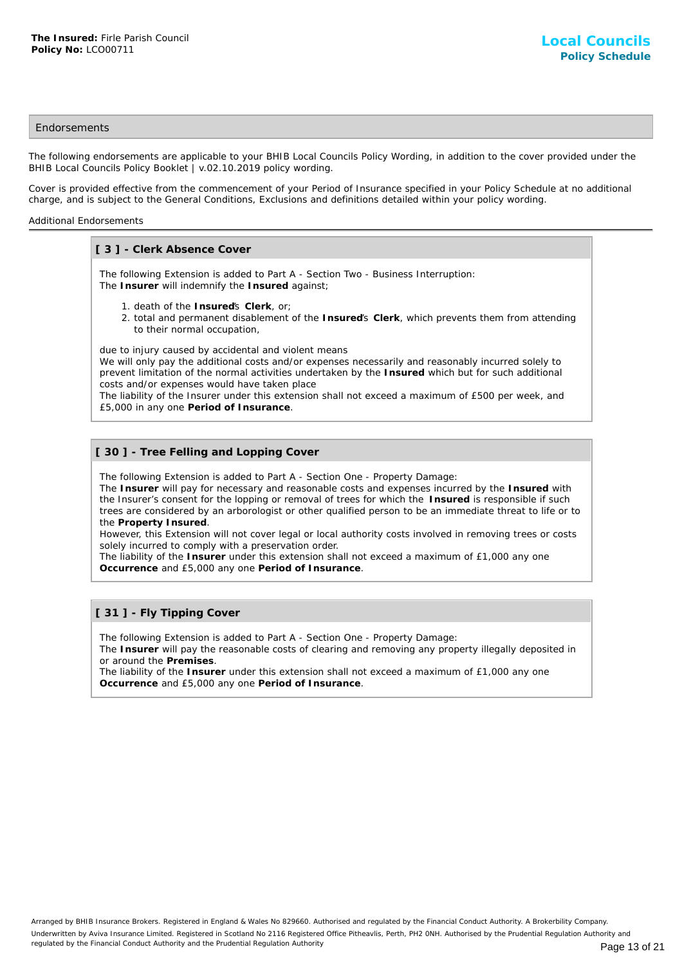## **Endorsements**

The following endorsements are applicable to your BHIB Local Councils Policy Wording, in addition to the cover provided under the BHIB Local Councils Policy Booklet | v.02.10.2019 policy wording.

Cover is provided effective from the commencement of your Period of Insurance specified in your Policy Schedule at no additional charge, and is subject to the General Conditions, Exclusions and definitions detailed within your policy wording.

#### Additional Endorsements

# **[ 3 ] - Clerk Absence Cover**

The following Extension is added to Part A - Section Two - Business Interruption: The **Insurer** will indemnify the **Insured** against;

- 1. death of the **Insured**'s **Clerk**, or;
- 2. total and permanent disablement of the Insured's Clerk, which prevents them from attending to their normal occupation,

due to injury caused by accidental and violent means

We will only pay the additional costs and/or expenses necessarily and reasonably incurred solely to prevent limitation of the normal activities undertaken by the **Insured** which but for such additional costs and/or expenses would have taken place

The liability of the Insurer under this extension shall not exceed a maximum of £500 per week, and £5,000 in any one **Period of Insurance**.

# **[ 30 ] - Tree Felling and Lopping Cover**

The following Extension is added to Part A - Section One - Property Damage:

The **Insurer** will pay for necessary and reasonable costs and expenses incurred by the **Insured** with the Insurer's consent for the lopping or removal of trees for which the **Insured** is responsible if such trees are considered by an arborologist or other qualified person to be an immediate threat to life or to the **Property Insured**.

However, this Extension will not cover legal or local authority costs involved in removing trees or costs solely incurred to comply with a preservation order.

The liability of the **Insurer** under this extension shall not exceed a maximum of £1,000 any one **Occurrence** and £5,000 any one **Period of Insurance**.

## **[ 31 ] - Fly Tipping Cover**

The following Extension is added to Part A - Section One - Property Damage:

The **Insurer** will pay the reasonable costs of clearing and removing any property illegally deposited in or around the **Premises**.

The liability of the **Insurer** under this extension shall not exceed a maximum of £1,000 any one **Occurrence** and £5,000 any one **Period of Insurance**.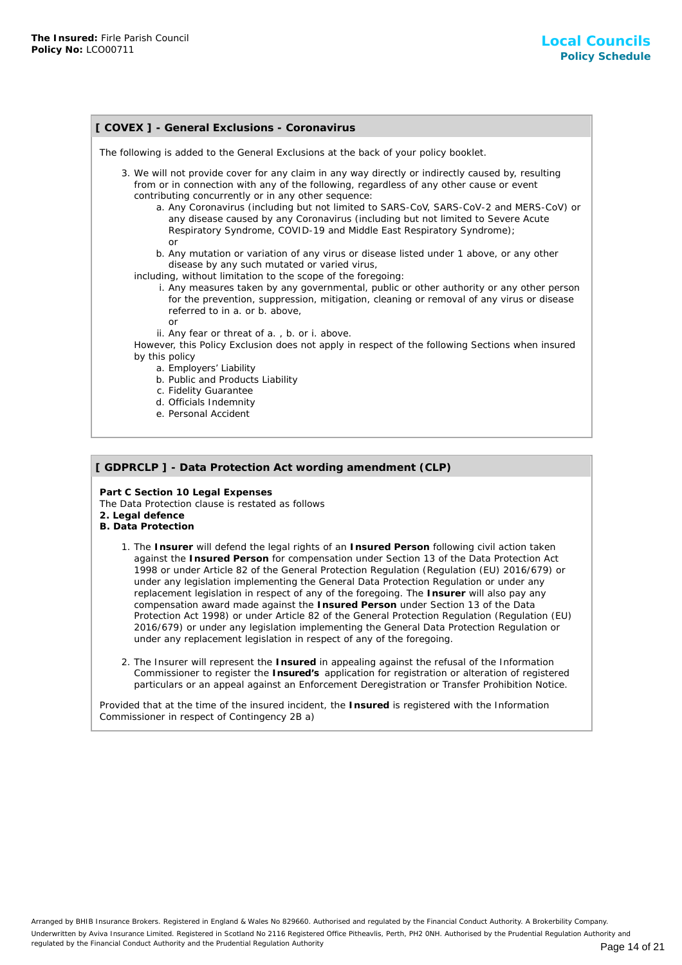| [ COVEX ] - General Exclusions - Coronavirus                                                                                                                                                                                                                                                                                                                                                                                                                                                               |  |  |
|------------------------------------------------------------------------------------------------------------------------------------------------------------------------------------------------------------------------------------------------------------------------------------------------------------------------------------------------------------------------------------------------------------------------------------------------------------------------------------------------------------|--|--|
| The following is added to the General Exclusions at the back of your policy booklet.                                                                                                                                                                                                                                                                                                                                                                                                                       |  |  |
| 3. We will not provide cover for any claim in any way directly or indirectly caused by, resulting<br>from or in connection with any of the following, regardless of any other cause or event<br>contributing concurrently or in any other sequence:<br>a. Any Coronavirus (including but not limited to SARS-CoV, SARS-CoV-2 and MERS-CoV) or<br>any disease caused by any Coronavirus (including but not limited to Severe Acute<br>Respiratory Syndrome, COVID-19 and Middle East Respiratory Syndrome); |  |  |
| or<br>b. Any mutation or variation of any virus or disease listed under 1 above, or any other<br>disease by any such mutated or varied virus,<br>including, without limitation to the scope of the foregoing:<br>i. Any measures taken by any governmental, public or other authority or any other person<br>for the prevention, suppression, mitigation, cleaning or removal of any virus or disease<br>referred to in a. or b. above,<br>or                                                              |  |  |
| ii. Any fear or threat of a., b. or i. above.<br>However, this Policy Exclusion does not apply in respect of the following Sections when insured<br>by this policy                                                                                                                                                                                                                                                                                                                                         |  |  |
| a. Employers' Liability<br>b. Public and Products Liability<br>c. Fidelity Guarantee<br>d. Officials Indemnity<br>e. Personal Accident                                                                                                                                                                                                                                                                                                                                                                     |  |  |

#### **[ GDPRCLP ] - Data Protection Act wording amendment (CLP)**

**Part C Section 10 Legal Expenses** The Data Protection clause is restated as follows **2. Legal defence**

- **B. Data Protection**
	- 1. The Insurer will defend the legal rights of an Insured Person following civil action taken against the **Insured Person** for compensation under Section 13 of the Data Protection Act 1998 or under Article 82 of the General Protection Regulation (Regulation (EU) 2016/679) or under any legislation implementing the General Data Protection Regulation or under any replacement legislation in respect of any of the foregoing. The **Insurer** will also pay any compensation award made against the **Insured Person** under Section 13 of the Data Protection Act 1998) or under Article 82 of the General Protection Regulation (Regulation (EU) 2016/679) or under any legislation implementing the General Data Protection Regulation or under any replacement legislation in respect of any of the foregoing.
	- 2. The Insurer will represent the Insured in appealing against the refusal of the Information Commissioner to register the **Insured's** application for registration or alteration of registered particulars or an appeal against an Enforcement Deregistration or Transfer Prohibition Notice.

Provided that at the time of the insured incident, the **Insured** is registered with the Information Commissioner in respect of Contingency 2B a)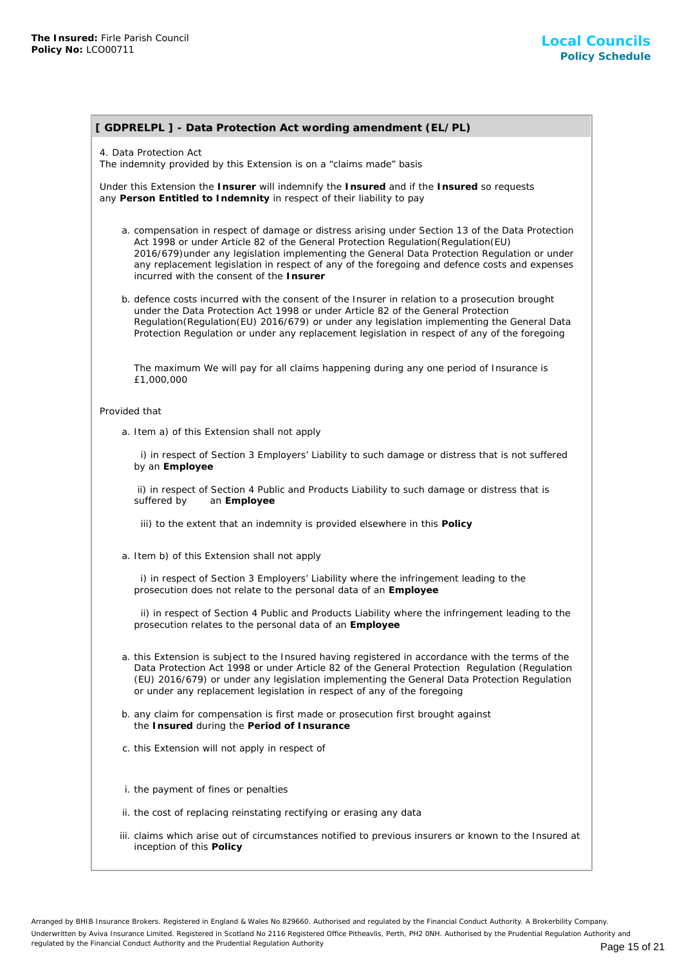# **[ GDPRELPL ] - Data Protection Act wording amendment (EL/PL)**

4. Data Protection Act

The indemnity provided by this Extension is on a "claims made" basis

Under this Extension the **Insurer** will indemnify the **Insured** and if the **Insured** so requests any **Person Entitled to Indemnity** in respect of their liability to pay

- a. compensation in respect of damage or distress arising under Section 13 of the Data Protection Act 1998 or under Article 82 of the General Protection Regulation(Regulation(EU) 2016/679)under any legislation implementing the General Data Protection Regulation or under any replacement legislation in respect of any of the foregoing and defence costs and expenses incurred with the consent of the **Insurer**
- b. defence costs incurred with the consent of the Insurer in relation to a prosecution brought under the Data Protection Act 1998 or under Article 82 of the General Protection Regulation(Regulation(EU) 2016/679) or under any legislation implementing the General Data Protection Regulation or under any replacement legislation in respect of any of the foregoing

The maximum We will pay for all claims happening during any one period of Insurance is £1,000,000

#### Provided that

a. Item a) of this Extension shall not apply

 i) in respect of Section 3 Employers' Liability to such damage or distress that is not suffered by an **Employee**

 ii) in respect of Section 4 Public and Products Liability to such damage or distress that is suffered by an **Employee**

iii) to the extent that an indemnity is provided elsewhere in this **Policy**

a. Item b) of this Extension shall not apply

 i) in respect of Section 3 Employers' Liability where the infringement leading to the prosecution does not relate to the personal data of an **Employee**

 ii) in respect of Section 4 Public and Products Liability where the infringement leading to the prosecution relates to the personal data of an **Employee**

- a. this Extension is subject to the Insured having registered in accordance with the terms of the Data Protection Act 1998 or under Article 82 of the General Protection Regulation (Regulation (EU) 2016/679) or under any legislation implementing the General Data Protection Regulation or under any replacement legislation in respect of any of the foregoing
- b. any claim for compensation is first made or prosecution first brought against the **Insured** during the **Period of Insurance**
- c. this Extension will not apply in respect of
- i. the payment of fines or penalties
- ii. the cost of replacing reinstating rectifying or erasing any data
- iii. claims which arise out of circumstances notified to previous insurers or known to the Insured at inception of this **Policy**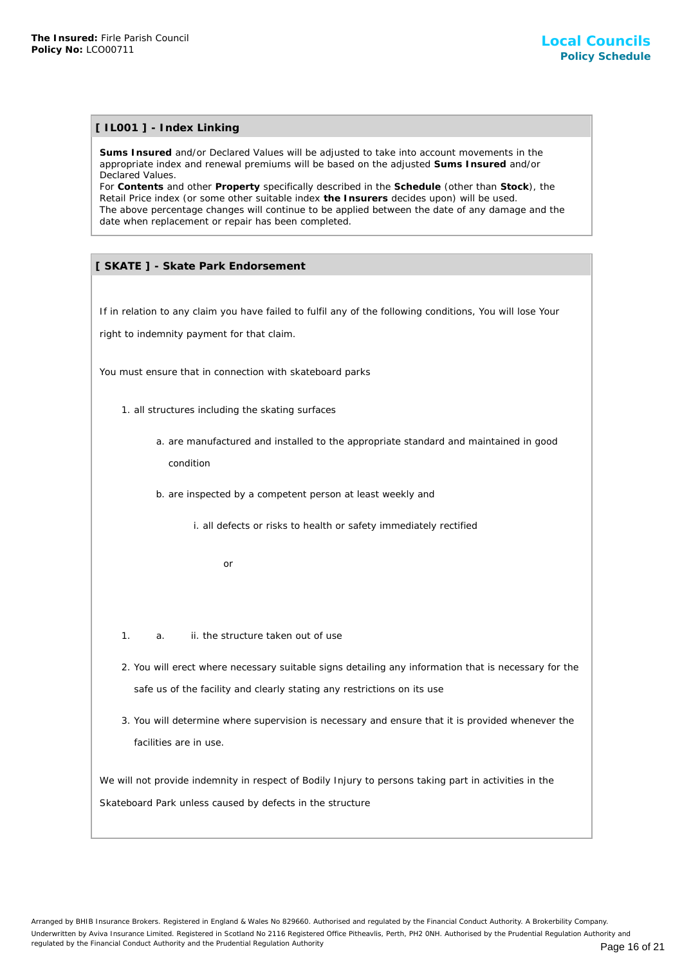# **[ IL001 ] - Index Linking**

**Sums Insured** and/or Declared Values will be adjusted to take into account movements in the appropriate index and renewal premiums will be based on the adjusted **Sums Insured** and/or Declared Values.

For **Contents** and other **Property** specifically described in the **Schedule** (other than **Stock**), the Retail Price index (or some other suitable index **the Insurers** decides upon) will be used. The above percentage changes will continue to be applied between the date of any damage and the date when replacement or repair has been completed. The International Council<br>
Shares can be a real of the structure<br>
Shares and the structure of the structure of the structure of the structure<br>
Defect with the structure of the structure of the structure of the structure of

# **[ SKATE ] - Skate Park Endorsement**

If in relation to any claim you have failed to fulfil any of the following conditions, You will lose Your

right to indemnity payment for that claim.

You must ensure that in connection with skateboard parks

- 1. all structures including the skating surfaces
	- a. are manufactured and installed to the appropriate standard and maintained in good condition
	- b. are inspected by a competent person at least weekly and
		- i. all defects or risks to health or safety immediately rectified

or

- 1. a. ii. the structure taken out of use
- 2. You will erect where necessary suitable signs detailing any information that is necessary for the safe us of the facility and clearly stating any restrictions on its use
- 3. You will determine where supervision is necessary and ensure that it is provided whenever the facilities are in use.

We will not provide indemnity in respect of Bodily Injury to persons taking part in activities in the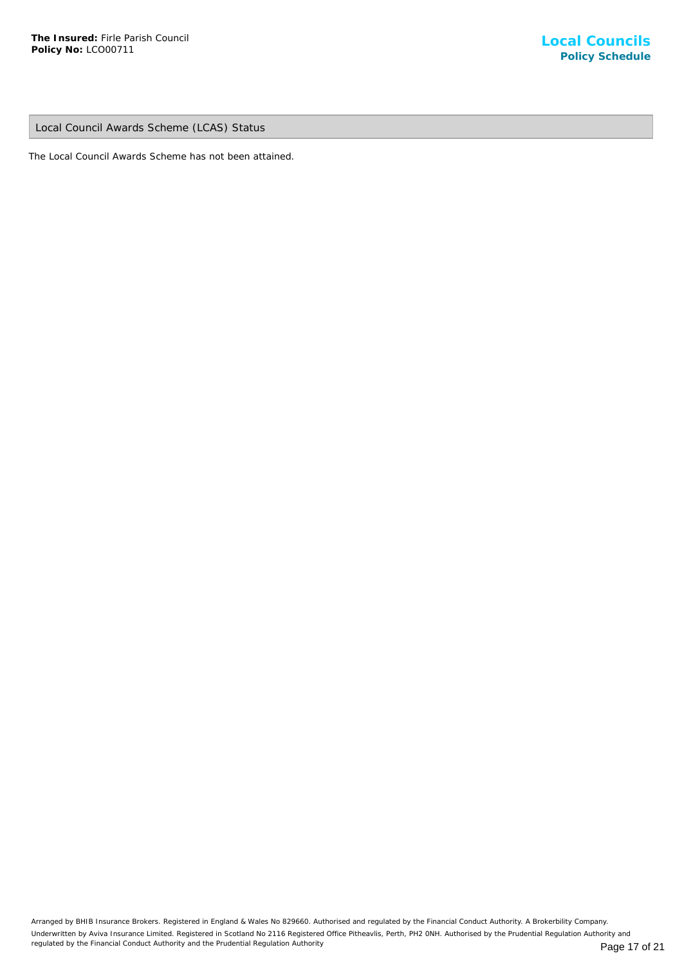Local Council Awards Scheme (LCAS) Status

The Local Council Awards Scheme has not been attained.

Arranged by BHIB Insurance Brokers. Registered in England & Wales No 829660. Authorised and regulated by the Financial Conduct Authority. A Brokerbility Company. Underwritten by Aviva Insurance Limited. Registered in Scotland No 2116 Registered Office Pitheavlis, Perth, PH2 0NH. Authorised by the Prudential Regulation Authority and regulated by the Financial Conduct Authority and the Prudential Regulation Authority **Page 17 of 21** Page 17 of 21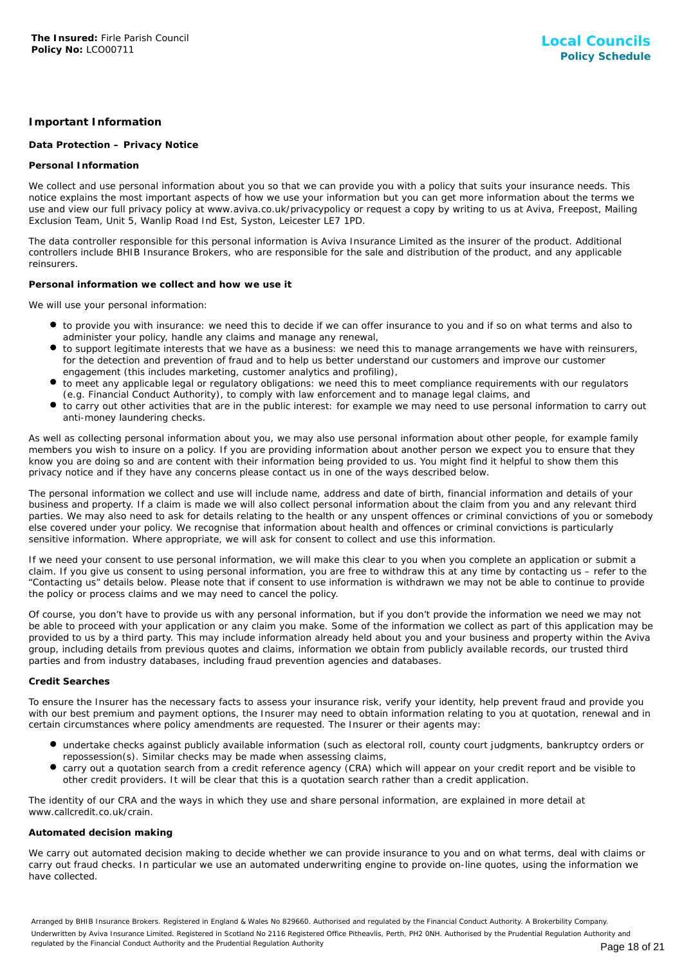# **Important Information**

#### **Data Protection – Privacy Notice**

#### **Personal Information**

We collect and use personal information about you so that we can provide you with a policy that suits your insurance needs. This notice explains the most important aspects of how we use your information but you can get more information about the terms we use and view our full privacy policy at www.aviva.co.uk/privacypolicy or request a copy by writing to us at Aviva, Freepost, Mailing Exclusion Team, Unit 5, Wanlip Road Ind Est, Syston, Leicester LE7 1PD.

The data controller responsible for this personal information is Aviva Insurance Limited as the insurer of the product. Additional controllers include BHIB Insurance Brokers, who are responsible for the sale and distribution of the product, and any applicable reinsurers.

#### **Personal information we collect and how we use it**

We will use your personal information:

- to provide you with insurance: we need this to decide if we can offer insurance to you and if so on what terms and also to administer your policy, handle any claims and manage any renewal,
- to support legitimate interests that we have as a business: we need this to manage arrangements we have with reinsurers, for the detection and prevention of fraud and to help us better understand our customers and improve our customer engagement (this includes marketing, customer analytics and profiling),
- to meet any applicable legal or regulatory obligations: we need this to meet compliance requirements with our regulators (e.g. Financial Conduct Authority), to comply with law enforcement and to manage legal claims, and
- to carry out other activities that are in the public interest: for example we may need to use personal information to carry out anti-money laundering checks.

As well as collecting personal information about you, we may also use personal information about other people, for example family members you wish to insure on a policy. If you are providing information about another person we expect you to ensure that they know you are doing so and are content with their information being provided to us. You might find it helpful to show them this privacy notice and if they have any concerns please contact us in one of the ways described below.

The personal information we collect and use will include name, address and date of birth, financial information and details of your business and property. If a claim is made we will also collect personal information about the claim from you and any relevant third parties. We may also need to ask for details relating to the health or any unspent offences or criminal convictions of you or somebody else covered under your policy. We recognise that information about health and offences or criminal convictions is particularly sensitive information. Where appropriate, we will ask for consent to collect and use this information.

If we need your consent to use personal information, we will make this clear to you when you complete an application or submit a claim. If you give us consent to using personal information, you are free to withdraw this at any time by contacting us – refer to the "Contacting us" details below. Please note that if consent to use information is withdrawn we may not be able to continue to provide the policy or process claims and we may need to cancel the policy.

Of course, you don't have to provide us with any personal information, but if you don't provide the information we need we may not be able to proceed with your application or any claim you make. Some of the information we collect as part of this application may be provided to us by a third party. This may include information already held about you and your business and property within the Aviva group, including details from previous quotes and claims, information we obtain from publicly available records, our trusted third parties and from industry databases, including fraud prevention agencies and databases.

#### **Credit Searches**

To ensure the Insurer has the necessary facts to assess your insurance risk, verify your identity, help prevent fraud and provide you with our best premium and payment options, the Insurer may need to obtain information relating to you at quotation, renewal and in certain circumstances where policy amendments are requested. The Insurer or their agents may:

- undertake checks against publicly available information (such as electoral roll, county court judgments, bankruptcy orders or repossession(s). Similar checks may be made when assessing claims,
- carry out a quotation search from a credit reference agency (CRA) which will appear on your credit report and be visible to other credit providers. It will be clear that this is a quotation search rather than a credit application.

The identity of our CRA and the ways in which they use and share personal information, are explained in more detail at www.callcredit.co.uk/crain.

#### **Automated decision making**

We carry out automated decision making to decide whether we can provide insurance to you and on what terms, deal with claims or carry out fraud checks. In particular we use an automated underwriting engine to provide on-line quotes, using the information we have collected.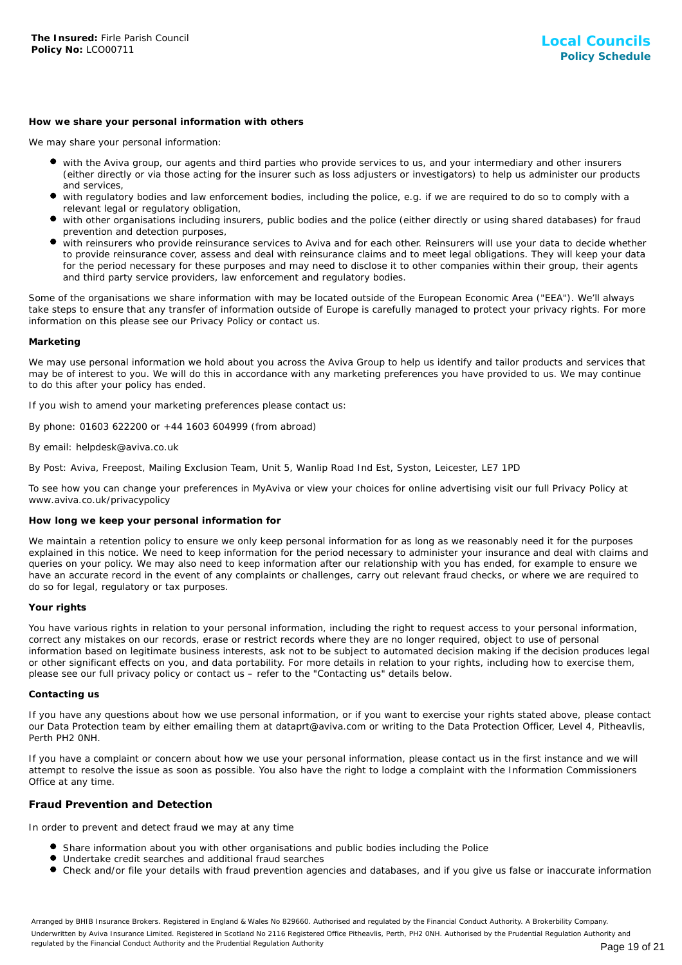#### **How we share your personal information with others**

We may share your personal information:

- with the Aviva group, our agents and third parties who provide services to us, and your intermediary and other insurers (either directly or via those acting for the insurer such as loss adjusters or investigators) to help us administer our products and services,
- with regulatory bodies and law enforcement bodies, including the police, e.g. if we are required to do so to comply with a relevant legal or regulatory obligation,
- with other organisations including insurers, public bodies and the police (either directly or using shared databases) for fraud prevention and detection purposes,
- with reinsurers who provide reinsurance services to Aviva and for each other. Reinsurers will use your data to decide whether to provide reinsurance cover, assess and deal with reinsurance claims and to meet legal obligations. They will keep your data for the period necessary for these purposes and may need to disclose it to other companies within their group, their agents and third party service providers, law enforcement and regulatory bodies.

Some of the organisations we share information with may be located outside of the European Economic Area ("EEA"). We'll always take steps to ensure that any transfer of information outside of Europe is carefully managed to protect your privacy rights. For more information on this please see our Privacy Policy or contact us.

#### **Marketing**

We may use personal information we hold about you across the Aviva Group to help us identify and tailor products and services that may be of interest to you. We will do this in accordance with any marketing preferences you have provided to us. We may continue to do this after your policy has ended.

If you wish to amend your marketing preferences please contact us:

By phone: 01603 622200 or +44 1603 604999 (from abroad)

#### By email: helpdesk@aviva.co.uk

By Post: Aviva, Freepost, Mailing Exclusion Team, Unit 5, Wanlip Road Ind Est, Syston, Leicester, LE7 1PD

To see how you can change your preferences in MyAviva or view your choices for online advertising visit our full Privacy Policy at www.aviva.co.uk/privacypolicy

#### **How long we keep your personal information for**

We maintain a retention policy to ensure we only keep personal information for as long as we reasonably need it for the purposes explained in this notice. We need to keep information for the period necessary to administer your insurance and deal with claims and queries on your policy. We may also need to keep information after our relationship with you has ended, for example to ensure we have an accurate record in the event of any complaints or challenges, carry out relevant fraud checks, or where we are required to do so for legal, regulatory or tax purposes.

#### **Your rights**

You have various rights in relation to your personal information, including the right to request access to your personal information, correct any mistakes on our records, erase or restrict records where they are no longer required, object to use of personal information based on legitimate business interests, ask not to be subject to automated decision making if the decision produces legal or other significant effects on you, and data portability. For more details in relation to your rights, including how to exercise them, please see our full privacy policy or contact us – refer to the "Contacting us" details below.

#### **Contacting us**

If you have any questions about how we use personal information, or if you want to exercise your rights stated above, please contact our Data Protection team by either emailing them at dataprt@aviva.com or writing to the Data Protection Officer, Level 4, Pitheavlis, Perth PH2 0NH.

If you have a complaint or concern about how we use your personal information, please contact us in the first instance and we will attempt to resolve the issue as soon as possible. You also have the right to lodge a complaint with the Information Commissioners Office at any time.

#### **Fraud Prevention and Detection**

In order to prevent and detect fraud we may at any time

- **Share information about you with other organisations and public bodies including the Police**
- Undertake credit searches and additional fraud searches
- Check and/or file your details with fraud prevention agencies and databases, and if you give us false or inaccurate information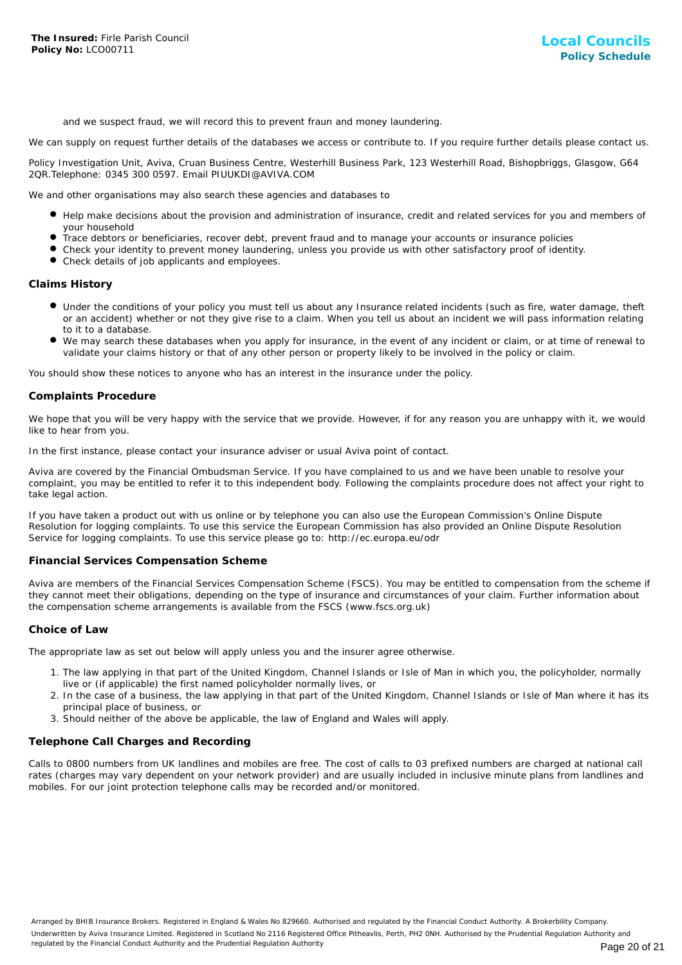and we suspect fraud, we will record this to prevent fraun and money laundering.

We can supply on request further details of the databases we access or contribute to. If you require further details please contact us.

Policy Investigation Unit, Aviva, Cruan Business Centre, Westerhill Business Park, 123 Westerhill Road, Bishopbriggs, Glasgow, G64 2QR.Telephone: 0345 300 0597. Email PIUUKDI@AVIVA.COM

We and other organisations may also search these agencies and databases to

- Help make decisions about the provision and administration of insurance, credit and related services for you and members of your household
- Trace debtors or beneficiaries, recover debt, prevent fraud and to manage your accounts or insurance policies
- Check your identity to prevent money laundering, unless you provide us with other satisfactory proof of identity.
- Check details of job applicants and employees.

#### **Claims History**

- Under the conditions of your policy you must tell us about any Insurance related incidents (such as fire, water damage, theft or an accident) whether or not they give rise to a claim. When you tell us about an incident we will pass information relating to it to a database.
- We may search these databases when you apply for insurance, in the event of any incident or claim, or at time of renewal to validate your claims history or that of any other person or property likely to be involved in the policy or claim.

You should show these notices to anyone who has an interest in the insurance under the policy.

#### **Complaints Procedure**

We hope that you will be very happy with the service that we provide. However, if for any reason you are unhappy with it, we would like to hear from you.

In the first instance, please contact your insurance adviser or usual Aviva point of contact.

Aviva are covered by the Financial Ombudsman Service. If you have complained to us and we have been unable to resolve your complaint, you may be entitled to refer it to this independent body. Following the complaints procedure does not affect your right to take legal action.

If you have taken a product out with us online or by telephone you can also use the European Commission's Online Dispute Resolution for logging complaints. To use this service the European Commission has also provided an Online Dispute Resolution Service for logging complaints. To use this service please go to: http://ec.europa.eu/odr

#### **Financial Services Compensation Scheme**

Aviva are members of the Financial Services Compensation Scheme (FSCS). You may be entitled to compensation from the scheme if they cannot meet their obligations, depending on the type of insurance and circumstances of your claim. Further information about the compensation scheme arrangements is available from the FSCS (www.fscs.org.uk)

#### **Choice of Law**

The appropriate law as set out below will apply unless you and the insurer agree otherwise.

- 1. The law applying in that part of the United Kingdom, Channel Islands or Isle of Man in which you, the policyholder, normally live or (if applicable) the first named policyholder normally lives, or
- 2. In the case of a business, the law applying in that part of the United Kingdom, Channel Islands or Isle of Man where it has its principal place of business, or
- 3. Should neither of the above be applicable, the law of England and Wales will apply.

## **Telephone Call Charges and Recording**

Calls to 0800 numbers from UK landlines and mobiles are free. The cost of calls to 03 prefixed numbers are charged at national call rates (charges may vary dependent on your network provider) and are usually included in inclusive minute plans from landlines and mobiles. For our joint protection telephone calls may be recorded and/or monitored.